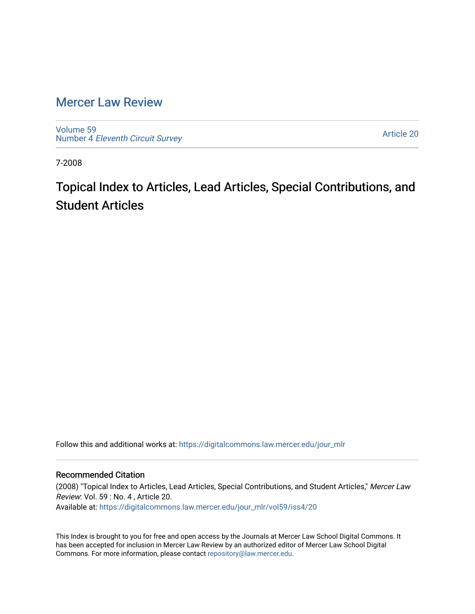## [Mercer Law Review](https://digitalcommons.law.mercer.edu/jour_mlr)

[Volume 59](https://digitalcommons.law.mercer.edu/jour_mlr/vol59) Number 4 [Eleventh Circuit Survey](https://digitalcommons.law.mercer.edu/jour_mlr/vol59/iss4) 

[Article 20](https://digitalcommons.law.mercer.edu/jour_mlr/vol59/iss4/20) 

7-2008

Topical Index to Articles, Lead Articles, Special Contributions, and Student Articles

Follow this and additional works at: [https://digitalcommons.law.mercer.edu/jour\\_mlr](https://digitalcommons.law.mercer.edu/jour_mlr?utm_source=digitalcommons.law.mercer.edu%2Fjour_mlr%2Fvol59%2Fiss4%2F20&utm_medium=PDF&utm_campaign=PDFCoverPages)

## Recommended Citation

(2008) "Topical Index to Articles, Lead Articles, Special Contributions, and Student Articles," Mercer Law Review: Vol. 59 : No. 4 , Article 20. Available at: [https://digitalcommons.law.mercer.edu/jour\\_mlr/vol59/iss4/20](https://digitalcommons.law.mercer.edu/jour_mlr/vol59/iss4/20?utm_source=digitalcommons.law.mercer.edu%2Fjour_mlr%2Fvol59%2Fiss4%2F20&utm_medium=PDF&utm_campaign=PDFCoverPages) 

This Index is brought to you for free and open access by the Journals at Mercer Law School Digital Commons. It has been accepted for inclusion in Mercer Law Review by an authorized editor of Mercer Law School Digital Commons. For more information, please contact [repository@law.mercer.edu.](mailto:repository@law.mercer.edu)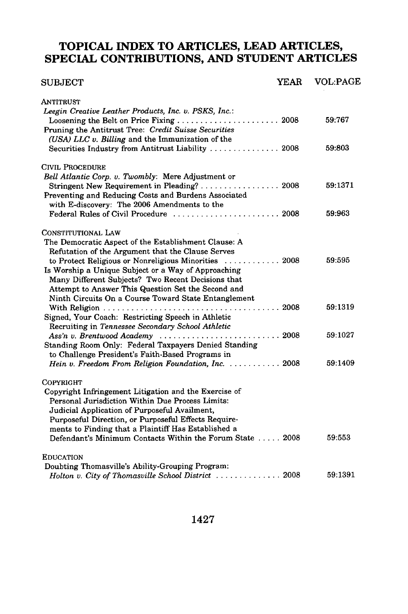## **TOPICAL INDEX TO ARTICLES, LEAD ARTICLES, SPECIAL CONTRIBUTIONS, AND STUDENT ARTICLES**

| <b>SUBJECT</b>                                                                                                                                                           | YEAR | <b>VOL:PAGE</b> |
|--------------------------------------------------------------------------------------------------------------------------------------------------------------------------|------|-----------------|
| ANTITRUST<br>Leegin Creative Leather Products, Inc. v. PSKS, Inc.:                                                                                                       |      |                 |
| Loosening the Belt on Price Fixing  2008<br>Pruning the Antitrust Tree: Credit Suisse Securities                                                                         |      | 59:767          |
| (USA) LLC v. Billing and the Immunization of the<br>Securities Industry from Antitrust Liability  2008                                                                   |      | 59:803          |
| <b>CIVIL PROCEDURE</b>                                                                                                                                                   |      |                 |
| Bell Atlantic Corp. v. Twombly: Mere Adjustment or<br>Stringent New Requirement in Pleading? 2008<br>Preventing and Reducing Costs and Burdens Associated                |      | 59:1371         |
| with E-discovery: The 2006 Amendments to the<br>Federal Rules of Civil Procedure  2008                                                                                   |      | 59:963          |
| CONSTITUTIONAL LAW                                                                                                                                                       |      |                 |
| The Democratic Aspect of the Establishment Clause: A<br>Refutation of the Argument that the Clause Serves<br>to Protect Religious or Nonreligious Minorities  2008       |      | 59:595          |
| Is Worship a Unique Subject or a Way of Approaching<br>Many Different Subjects? Two Recent Decisions that<br>Attempt to Answer This Question Set the Second and          |      |                 |
| Ninth Circuits On a Course Toward State Entanglement                                                                                                                     |      | 59:1319         |
| Signed, Your Coach: Restricting Speech in Athletic<br>Recruiting in Tennessee Secondary School Athletic                                                                  |      |                 |
| Ass'n v. Brentwood Academy $\ldots \ldots \ldots \ldots \ldots \ldots \ldots \ldots 2008$<br>Standing Room Only: Federal Taxpayers Denied Standing                       |      | 59:1027         |
| to Challenge President's Faith-Based Programs in<br>Hein v. Freedom From Religion Foundation, Inc.  2008                                                                 |      | 59:1409         |
| <b>COPYRIGHT</b>                                                                                                                                                         |      |                 |
| Copyright Infringement Litigation and the Exercise of<br>Personal Jurisdiction Within Due Process Limits:<br>Judicial Application of Purposeful Availment,               |      |                 |
| Purposeful Direction, or Purposeful Effects Require-<br>ments to Finding that a Plaintiff Has Established a<br>Defendant's Minimum Contacts Within the Forum State  2008 |      | 59:553          |
| <b>EDUCATION</b>                                                                                                                                                         |      |                 |
| Doubting Thomasville's Ability-Grouping Program:<br>Holton v. City of Thomasville School District  2008                                                                  |      | 59:1391         |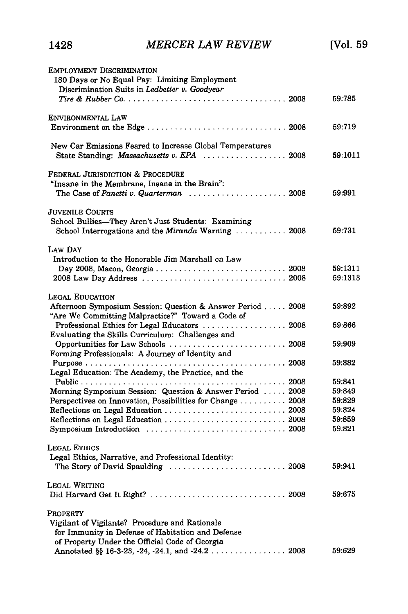| <b>EMPLOYMENT DISCRIMINATION</b><br>180 Days or No Equal Pay: Limiting Employment<br>Discrimination Suits in Ledbetter v. Goodyear                                                                                                      |                                                          |
|-----------------------------------------------------------------------------------------------------------------------------------------------------------------------------------------------------------------------------------------|----------------------------------------------------------|
|                                                                                                                                                                                                                                         | 59:785                                                   |
| ENVIRONMENTAL LAW<br>Environment on the Edge  2008                                                                                                                                                                                      | 59:719                                                   |
| New Car Emissions Feared to Increase Global Temperatures                                                                                                                                                                                | 59:1011                                                  |
| Federal Jurisdiction & Procedure<br>"Insane in the Membrane, Insane in the Brain":<br>The Case of Panetti v. Quarterman  2008                                                                                                           | 59:991                                                   |
| Juvenile Courts<br>School Bullies-They Aren't Just Students: Examining<br>School Interrogations and the Miranda Warning  2008                                                                                                           | 59:731                                                   |
| LAW DAY<br>Introduction to the Honorable Jim Marshall on Law<br>Day 2008, Macon, Georgia  2008<br>2008 Law Day Address  2008                                                                                                            | 59:1311<br>59:1313                                       |
| LEGAL EDUCATION<br>Afternoon Symposium Session: Question & Answer Period 2008<br>"Are We Committing Malpractice?" Toward a Code of<br>Professional Ethics for Legal Educators  2008<br>Evaluating the Skills Curriculum: Challenges and | 59:892<br>59:866                                         |
| Opportunities for Law Schools  2008<br>Forming Professionals: A Journey of Identity and                                                                                                                                                 | 59:909<br>59:882                                         |
| Legal Education: The Academy, the Practice, and the<br>Morning Symposium Session: Question & Answer Period  2008<br>Perspectives on Innovation, Possibilities for Change 2008<br>Symposium Introduction  2008                           | 59:841<br>59:849<br>59:829<br>59:824<br>59:859<br>59:821 |
| Legal Ethics<br>Legal Ethics, Narrative, and Professional Identity:<br>The Story of David Spaulding  2008                                                                                                                               | 59:941                                                   |
| Legal Writing                                                                                                                                                                                                                           | 59:675                                                   |
| Property<br>Vigilant of Vigilante? Procedure and Rationale<br>for Immunity in Defense of Habitation and Defense<br>of Property Under the Official Code of Georgia<br>Annotated $\S$ 16-3-23, -24, -24.1, and -24.2 2008                 | 59:629                                                   |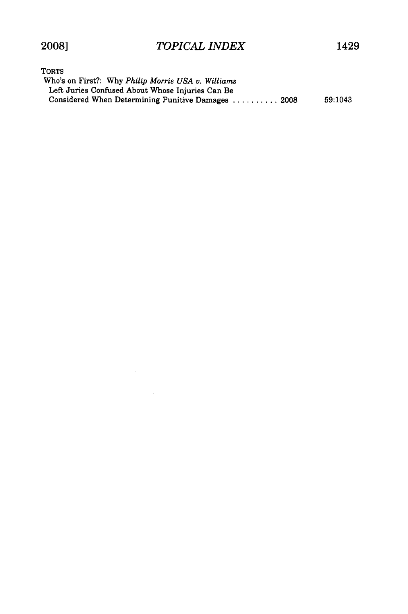| <b>TORTS</b>                                       |         |
|----------------------------------------------------|---------|
| Who's on First?: Why Philip Morris USA v. Williams |         |
| Left Juries Confused About Whose Injuries Can Be   |         |
| Considered When Determining Punitive Damages  2008 | 59:1043 |

 $\sim$   $\sim$